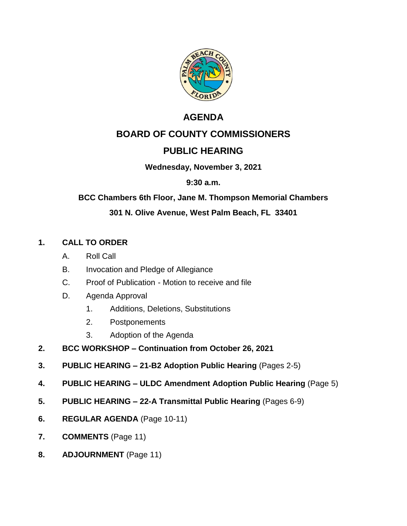

# **AGENDA**

# **BOARD OF COUNTY COMMISSIONERS**

# **PUBLIC HEARING**

### **Wednesday, November 3, 2021**

### **9:30 a.m.**

# **BCC Chambers 6th Floor, Jane M. Thompson Memorial Chambers**

# **301 N. Olive Avenue, West Palm Beach, FL 33401**

# **1. CALL TO ORDER**

- A. Roll Call
- B. Invocation and Pledge of Allegiance
- C. Proof of Publication Motion to receive and file
- D. Agenda Approval
	- 1. Additions, Deletions, Substitutions
	- 2. Postponements
	- 3. Adoption of the Agenda
- **2. BCC WORKSHOP – Continuation from October 26, 2021**
- **3. PUBLIC HEARING – 21-B2 Adoption Public Hearing** (Pages 2-5)
- **4. PUBLIC HEARING – ULDC Amendment Adoption Public Hearing** (Page 5)
- **5. PUBLIC HEARING – 22-A Transmittal Public Hearing** (Pages 6-9)
- **6. REGULAR AGENDA** (Page 10-11)
- **7. COMMENTS** (Page 11)
- **8. ADJOURNMENT** (Page 11)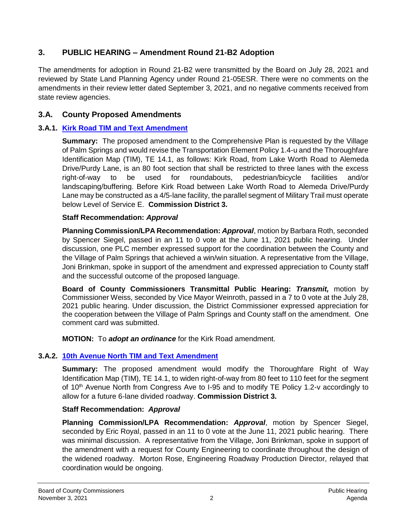# **3. PUBLIC HEARING – Amendment Round 21-B2 Adoption**

The amendments for adoption in Round 21-B2 were transmitted by the Board on July 28, 2021 and reviewed by State Land Planning Agency under Round 21-05ESR. There were no comments on the amendments in their review letter dated September 3, 2021, and no negative comments received from state review agencies.

# **3.A. County Proposed Amendments**

### **3.A.1. Kirk Road TIM and Text Amendment**

**Summary:** The proposed amendment to the Comprehensive Plan is requested by the Village of Palm Springs and would revise the Transportation Element Policy 1.4-u and the Thoroughfare Identification Map (TIM), TE 14.1, as follows: Kirk Road, from Lake Worth Road to Alemeda Drive/Purdy Lane, is an 80 foot section that shall be restricted to three lanes with the excess right-of-way to be used for roundabouts, pedestrian/bicycle facilities and/or landscaping/buffering. Before Kirk Road between Lake Worth Road to Alemeda Drive/Purdy Lane may be constructed as a 4/5-lane facility, the parallel segment of Military Trail must operate below Level of Service E. **Commission District 3.**

### **Staff Recommendation:** *Approval*

**Planning Commission/LPA Recommendation:** *Approval*, motion by Barbara Roth, seconded by Spencer Siegel, passed in an 11 to 0 vote at the June 11, 2021 public hearing. Under discussion, one PLC member expressed support for the coordination between the County and the Village of Palm Springs that achieved a win/win situation. A representative from the Village, Joni Brinkman, spoke in support of the amendment and expressed appreciation to County staff and the successful outcome of the proposed language.

**Board of County Commissioners Transmittal Public Hearing:** *Transmit,* motion by Commissioner Weiss, seconded by Vice Mayor Weinroth, passed in a 7 to 0 vote at the July 28, 2021 public hearing. Under discussion, the District Commissioner expressed appreciation for the cooperation between the Village of Palm Springs and County staff on the amendment. One comment card was submitted.

**MOTION:** To *adopt an ordinance* for the Kirk Road amendment.

# **3.A.2. 10th Avenue North TIM and Text Amendment**

**Summary:** The proposed amendment would modify the Thoroughfare Right of Way Identification Map (TIM), TE 14.1, to widen right-of-way from 80 feet to 110 feet for the segment of 10<sup>th</sup> Avenue North from Congress Ave to I-95 and to modify TE Policy 1.2-v accordingly to allow for a future 6-lane divided roadway. **Commission District 3.**

### **Staff Recommendation:** *Approval*

**Planning Commission/LPA Recommendation:** *Approval*, motion by Spencer Siegel, seconded by Eric Royal, passed in an 11 to 0 vote at the June 11, 2021 public hearing. There was minimal discussion. A representative from the Village, Joni Brinkman, spoke in support of the amendment with a request for County Engineering to coordinate throughout the design of the widened roadway. Morton Rose, Engineering Roadway Production Director, relayed that coordination would be ongoing.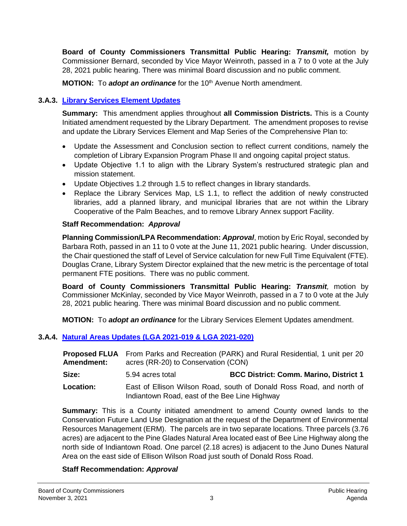**Board of County Commissioners Transmittal Public Hearing:** *Transmit,* motion by Commissioner Bernard, seconded by Vice Mayor Weinroth, passed in a 7 to 0 vote at the July 28, 2021 public hearing. There was minimal Board discussion and no public comment.

**MOTION:** To *adopt an ordinance* for the 10<sup>th</sup> Avenue North amendment.

# **3.A.3. [Library Services Element Updates](https://discover.pbcgov.org/pzb/planning/BCC-Agendas/2021/Nov3/3-A-3_Library-Rpt_ADA.pdf)**

**Summary:** This amendment applies throughout **all Commission Districts.** This is a County Initiated amendment requested by the Library Department. The amendment proposes to revise and update the Library Services Element and Map Series of the Comprehensive Plan to:

- Update the Assessment and Conclusion section to reflect current conditions, namely the completion of Library Expansion Program Phase II and ongoing capital project status.
- Update Objective 1.1 to align with the Library System's restructured strategic plan and mission statement.
- Update Objectives 1.2 through 1.5 to reflect changes in library standards.
- Replace the Library Services Map, LS 1.1, to reflect the addition of newly constructed libraries, add a planned library, and municipal libraries that are not within the Library Cooperative of the Palm Beaches, and to remove Library Annex support Facility.

### **Staff Recommendation:** *Approval*

**Planning Commission/LPA Recommendation:** *Approval*, motion by Eric Royal, seconded by Barbara Roth, passed in an 11 to 0 vote at the June 11, 2021 public hearing. Under discussion, the Chair questioned the staff of Level of Service calculation for new Full Time Equivalent (FTE). Douglas Crane, Library System Director explained that the new metric is the percentage of total permanent FTE positions. There was no public comment.

**Board of County Commissioners Transmittal Public Hearing:** *Transmit,* motion by Commissioner McKinlay, seconded by Vice Mayor Weinroth, passed in a 7 to 0 vote at the July 28, 2021 public hearing. There was minimal Board discussion and no public comment.

**MOTION:** To *adopt an ordinance* for the Library Services Element Updates amendment.

### **3.A.4. [Natural Areas Updates \(LGA 2021-019 & LGA 2021-020\)](https://discover.pbcgov.org/pzb/planning/BCC-Agendas/2021/Nov3/3-A-4_NaturalLands-Rpt_ADA.pdf)**

| <b>Proposed FLUA</b><br><b>Amendment:</b> | From Parks and Recreation (PARK) and Rural Residential, 1 unit per 20<br>acres (RR-20) to Conservation (CON)          |                                               |
|-------------------------------------------|-----------------------------------------------------------------------------------------------------------------------|-----------------------------------------------|
| Size:                                     | 5.94 acres total                                                                                                      | <b>BCC District: Comm. Marino, District 1</b> |
| Location:                                 | East of Ellison Wilson Road, south of Donald Ross Road, and north of<br>Indiantown Road, east of the Bee Line Highway |                                               |

**Summary:** This is a County initiated amendment to amend County owned lands to the Conservation Future Land Use Designation at the request of the Department of Environmental Resources Management (ERM). The parcels are in two separate locations. Three parcels (3.76 acres) are adjacent to the Pine Glades Natural Area located east of Bee Line Highway along the north side of Indiantown Road. One parcel (2.18 acres) is adjacent to the Juno Dunes Natural Area on the east side of Ellison Wilson Road just south of Donald Ross Road.

### **Staff Recommendation:** *Approval*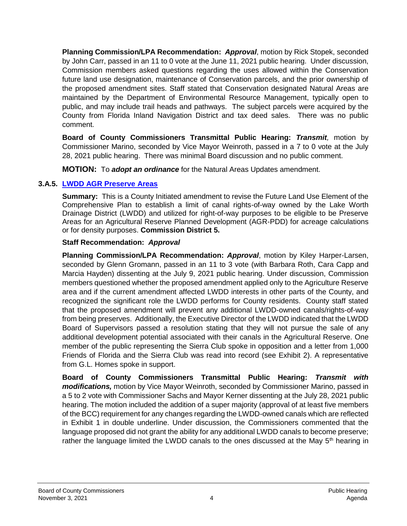**Planning Commission/LPA Recommendation:** *Approval*, motion by Rick Stopek, seconded by John Carr, passed in an 11 to 0 vote at the June 11, 2021 public hearing. Under discussion, Commission members asked questions regarding the uses allowed within the Conservation future land use designation, maintenance of Conservation parcels, and the prior ownership of the proposed amendment sites. Staff stated that Conservation designated Natural Areas are maintained by the Department of Environmental Resource Management, typically open to public, and may include trail heads and pathways. The subject parcels were acquired by the County from Florida Inland Navigation District and tax deed sales. There was no public comment.

**Board of County Commissioners Transmittal Public Hearing:** *Transmit,* motion by Commissioner Marino, seconded by Vice Mayor Weinroth, passed in a 7 to 0 vote at the July 28, 2021 public hearing. There was minimal Board discussion and no public comment.

**MOTION:** To *adopt an ordinance* for the Natural Areas Updates amendment.

### **3.A.5. [LWDD AGR Preserve Areas](https://discover.pbcgov.org/pzb/planning/BCC-Agendas/2021/Nov3/3-A-5_LWDDPreserve-Rpt_ADA.pdf)**

**Summary:** This is a County Initiated amendment to revise the Future Land Use Element of the Comprehensive Plan to establish a limit of canal rights-of-way owned by the Lake Worth Drainage District (LWDD) and utilized for right-of-way purposes to be eligible to be Preserve Areas for an Agricultural Reserve Planned Development (AGR-PDD) for acreage calculations or for density purposes. **Commission District 5.**

### **Staff Recommendation:** *Approval*

**Planning Commission/LPA Recommendation:** *Approval*, motion by Kiley Harper-Larsen, seconded by Glenn Gromann, passed in an 11 to 3 vote (with Barbara Roth, Cara Capp and Marcia Hayden) dissenting at the July 9, 2021 public hearing. Under discussion, Commission members questioned whether the proposed amendment applied only to the Agriculture Reserve area and if the current amendment affected LWDD interests in other parts of the County, and recognized the significant role the LWDD performs for County residents. County staff stated that the proposed amendment will prevent any additional LWDD-owned canals/rights-of-way from being preserves. Additionally, the Executive Director of the LWDD indicated that the LWDD Board of Supervisors passed a resolution stating that they will not pursue the sale of any additional development potential associated with their canals in the Agricultural Reserve. One member of the public representing the Sierra Club spoke in opposition and a letter from 1,000 Friends of Florida and the Sierra Club was read into record (see Exhibit 2). A representative from G.L. Homes spoke in support.

**Board of County Commissioners Transmittal Public Hearing:** *Transmit with modifications,* motion by Vice Mayor Weinroth, seconded by Commissioner Marino, passed in a 5 to 2 vote with Commissioner Sachs and Mayor Kerner dissenting at the July 28, 2021 public hearing. The motion included the addition of a super majority (approval of at least five members of the BCC) requirement for any changes regarding the LWDD-owned canals which are reflected in Exhibit 1 in double underline. Under discussion, the Commissioners commented that the language proposed did not grant the ability for any additional LWDD canals to become preserve; rather the language limited the LWDD canals to the ones discussed at the May 5<sup>th</sup> hearing in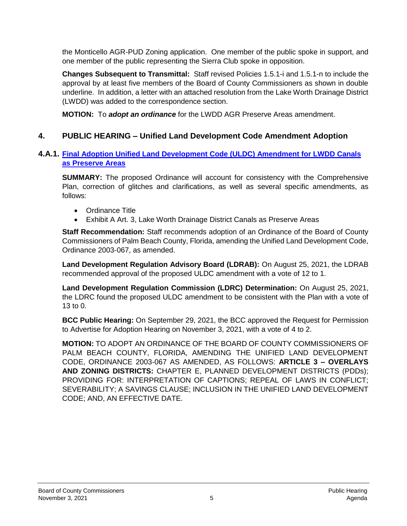the Monticello AGR-PUD Zoning application. One member of the public spoke in support, and one member of the public representing the Sierra Club spoke in opposition.

**Changes Subsequent to Transmittal:** Staff revised Policies 1.5.1-i and 1.5.1-n to include the approval by at least five members of the Board of County Commissioners as shown in double underline. In addition, a letter with an attached resolution from the Lake Worth Drainage District (LWDD) was added to the correspondence section.

**MOTION:** To *adopt an ordinance* for the LWDD AGR Preserve Areas amendment.

### **4. PUBLIC HEARING – Unified Land Development Code Amendment Adoption**

#### **4.A.1. [Final Adoption Unified Land Development Code \(ULDC\) Amendment for LWDD Canals](https://discover.pbcgov.org/pzb/planning/BCC-Agendas/2021/Nov3/4-A-1_ULDC-LWDDPreserve_ADA.pdf)  as Preserve Areas**

**SUMMARY:** The proposed Ordinance will account for consistency with the Comprehensive Plan, correction of glitches and clarifications, as well as several specific amendments, as follows:

- Ordinance Title
- Exhibit A Art. 3, Lake Worth Drainage District Canals as Preserve Areas

**Staff Recommendation:** Staff recommends adoption of an Ordinance of the Board of County Commissioners of Palm Beach County, Florida, amending the Unified Land Development Code, Ordinance 2003-067, as amended.

**Land Development Regulation Advisory Board (LDRAB):** On August 25, 2021, the LDRAB recommended approval of the proposed ULDC amendment with a vote of 12 to 1.

**Land Development Regulation Commission (LDRC) Determination:** On August 25, 2021, the LDRC found the proposed ULDC amendment to be consistent with the Plan with a vote of 13 to  $0<sub>1</sub>$ 

**BCC Public Hearing:** On September 29, 2021, the BCC approved the Request for Permission to Advertise for Adoption Hearing on November 3, 2021, with a vote of 4 to 2.

**MOTION:** TO ADOPT AN ORDINANCE OF THE BOARD OF COUNTY COMMISSIONERS OF PALM BEACH COUNTY, FLORIDA, AMENDING THE UNIFIED LAND DEVELOPMENT CODE, ORDINANCE 2003-067 AS AMENDED, AS FOLLOWS: **ARTICLE 3 – OVERLAYS AND ZONING DISTRICTS:** CHAPTER E, PLANNED DEVELOPMENT DISTRICTS (PDDs); PROVIDING FOR: INTERPRETATION OF CAPTIONS; REPEAL OF LAWS IN CONFLICT; SEVERABILITY; A SAVINGS CLAUSE; INCLUSION IN THE UNIFIED LAND DEVELOPMENT CODE; AND, AN EFFECTIVE DATE.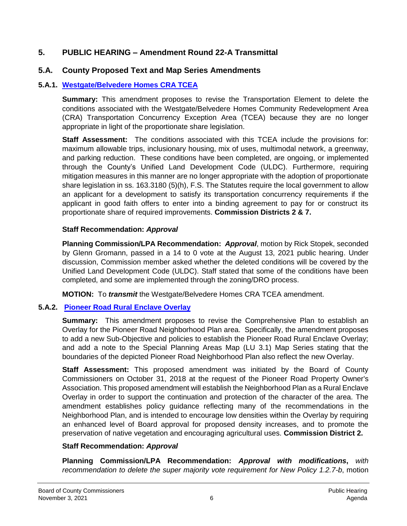### **5. PUBLIC HEARING – Amendment Round 22-A Transmittal**

### **5.A. County Proposed Text and Map Series Amendments**

### **5.A.1. [Westgate/Belvedere Homes CRA TCEA](https://discover.pbcgov.org/pzb/planning/BCC-Agendas/2021/Nov3/5-A-1_WestgateTCEA-Rpt_ADA.pdf)**

**Summary:** This amendment proposes to revise the Transportation Element to delete the conditions associated with the Westgate/Belvedere Homes Community Redevelopment Area (CRA) Transportation Concurrency Exception Area (TCEA) because they are no longer appropriate in light of the proportionate share legislation.

**Staff Assessment:** The conditions associated with this TCEA include the provisions for: maximum allowable trips, inclusionary housing, mix of uses, multimodal network, a greenway, and parking reduction. These conditions have been completed, are ongoing, or implemented through the County's Unified Land Development Code (ULDC). Furthermore, requiring mitigation measures in this manner are no longer appropriate with the adoption of proportionate share legislation in ss. 163.3180 (5)(h), F.S. The Statutes require the local government to allow an applicant for a development to satisfy its transportation concurrency requirements if the applicant in good faith offers to enter into a binding agreement to pay for or construct its proportionate share of required improvements. **Commission Districts 2 & 7.**

#### **Staff Recommendation:** *Approval*

**Planning Commission/LPA Recommendation:** *Approval*, motion by Rick Stopek, seconded by Glenn Gromann, passed in a 14 to 0 vote at the August 13, 2021 public hearing. Under discussion, Commission member asked whether the deleted conditions will be covered by the Unified Land Development Code (ULDC). Staff stated that some of the conditions have been completed, and some are implemented through the zoning/DRO process.

**MOTION:** To *transmit* the Westgate/Belvedere Homes CRA TCEA amendment.

### **5.A.2. [Pioneer Road Rural Enclave Overlay](https://discover.pbcgov.org/pzb/planning/BCC-Agendas/2021/Nov3/5-A-2_Pioneer-Overlay_ADA.pdf)**

**Summary:** This amendment proposes to revise the Comprehensive Plan to establish an Overlay for the Pioneer Road Neighborhood Plan area. Specifically, the amendment proposes to add a new Sub-Objective and policies to establish the Pioneer Road Rural Enclave Overlay; and add a note to the Special Planning Areas Map (LU 3.1) Map Series stating that the boundaries of the depicted Pioneer Road Neighborhood Plan also reflect the new Overlay.

**Staff Assessment:** This proposed amendment was initiated by the Board of County Commissioners on October 31, 2018 at the request of the Pioneer Road Property Owner's Association. This proposed amendment will establish the Neighborhood Plan as a Rural Enclave Overlay in order to support the continuation and protection of the character of the area. The amendment establishes policy guidance reflecting many of the recommendations in the Neighborhood Plan, and is intended to encourage low densities within the Overlay by requiring an enhanced level of Board approval for proposed density increases, and to promote the preservation of native vegetation and encouraging agricultural uses. **Commission District 2.**

#### **Staff Recommendation:** *Approval*

**Planning Commission/LPA Recommendation:** *Approval with modifications***,** *with recommendation to delete the super majority vote requirement for New Policy 1.2.7-b*, motion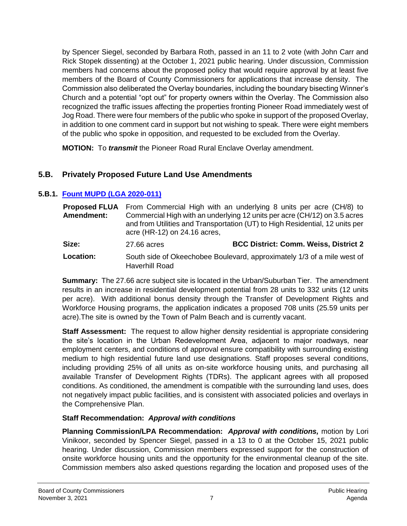by Spencer Siegel, seconded by Barbara Roth, passed in an 11 to 2 vote (with John Carr and Rick Stopek dissenting) at the October 1, 2021 public hearing. Under discussion, Commission members had concerns about the proposed policy that would require approval by at least five members of the Board of County Commissioners for applications that increase density. The Commission also deliberated the Overlay boundaries, including the boundary bisecting Winner's Church and a potential "opt out" for property owners within the Overlay. The Commission also recognized the traffic issues affecting the properties fronting Pioneer Road immediately west of Jog Road. There were four members of the public who spoke in support of the proposed Overlay, in addition to one comment card in support but not wishing to speak. There were eight members of the public who spoke in opposition, and requested to be excluded from the Overlay.

**MOTION:** To *transmit* the Pioneer Road Rural Enclave Overlay amendment.

### **5.B. Privately Proposed Future Land Use Amendments**

### **5.B.1. [Fount MUPD \(LGA 2020-011\)](https://discover.pbcgov.org/pzb/planning/BCC-Agendas/2021/Nov3/5-B-1_FountMUPD-Rpt_ADA.pdf)**

| Amendment: | <b>Proposed FLUA</b> From Commercial High with an underlying 8 units per acre (CH/8) to<br>Commercial High with an underlying 12 units per acre (CH/12) on 3.5 acres<br>and from Utilities and Transportation (UT) to High Residential, 12 units per<br>acre (HR-12) on 24.16 acres, |                                              |  |
|------------|--------------------------------------------------------------------------------------------------------------------------------------------------------------------------------------------------------------------------------------------------------------------------------------|----------------------------------------------|--|
| Size:      | 27.66 acres                                                                                                                                                                                                                                                                          | <b>BCC District: Comm. Weiss, District 2</b> |  |
| Location:  | South side of Okeechobee Boulevard, approximately 1/3 of a mile west of<br>Haverhill Road                                                                                                                                                                                            |                                              |  |

**Summary:** The 27.66 acre subject site is located in the Urban/Suburban Tier. The amendment results in an increase in residential development potential from 28 units to 332 units (12 units per acre). With additional bonus density through the Transfer of Development Rights and Workforce Housing programs, the application indicates a proposed 708 units (25.59 units per acre).The site is owned by the Town of Palm Beach and is currently vacant.

**Staff Assessment:** The request to allow higher density residential is appropriate considering the site's location in the Urban Redevelopment Area, adjacent to major roadways, near employment centers, and conditions of approval ensure compatibility with surrounding existing medium to high residential future land use designations. Staff proposes several conditions, including providing 25% of all units as on-site workforce housing units, and purchasing all available Transfer of Development Rights (TDRs). The applicant agrees with all proposed conditions. As conditioned, the amendment is compatible with the surrounding land uses, does not negatively impact public facilities, and is consistent with associated policies and overlays in the Comprehensive Plan.

### **Staff Recommendation:** *Approval with conditions*

**Planning Commission/LPA Recommendation:** *Approval with conditions,* motion by Lori Vinikoor, seconded by Spencer Siegel, passed in a 13 to 0 at the October 15, 2021 public hearing. Under discussion, Commission members expressed support for the construction of onsite workforce housing units and the opportunity for the environmental cleanup of the site. Commission members also asked questions regarding the location and proposed uses of the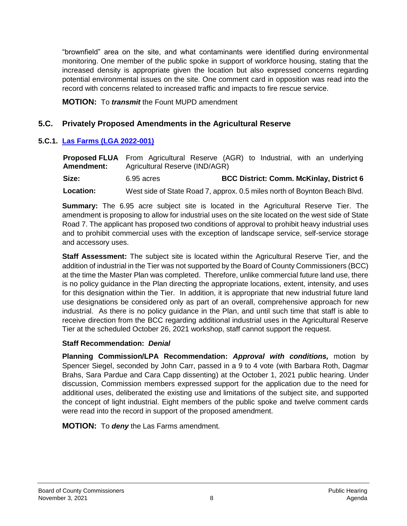"brownfield" area on the site, and what contaminants were identified during environmental monitoring. One member of the public spoke in support of workforce housing, stating that the increased density is appropriate given the location but also expressed concerns regarding potential environmental issues on the site. One comment card in opposition was read into the record with concerns related to increased traffic and impacts to fire rescue service.

**MOTION:** To *transmit* the Fount MUPD amendment

### **5.C. Privately Proposed Amendments in the Agricultural Reserve**

### **5.C.1. Las Farms [\(LGA 2022-001\)](https://discover.pbcgov.org/pzb/planning/BCC-Agendas/2021/Nov3/5-C-1_Las-Farms-Rpt_ADA.pdf)**

**Proposed FLUA** From Agricultural Reserve (AGR) to Industrial, with an underlying **Amendment:** Agricultural Reserve (IND/AGR) **Size:** 6.95 acres **BCC District: Comm. McKinlay, District 6 Location:** West side of State Road 7, approx. 0.5 miles north of Boynton Beach Blvd.

**Summary:** The 6.95 acre subject site is located in the Agricultural Reserve Tier. The amendment is proposing to allow for industrial uses on the site located on the west side of State Road 7. The applicant has proposed two conditions of approval to prohibit heavy industrial uses and to prohibit commercial uses with the exception of landscape service, self-service storage and accessory uses.

**Staff Assessment:** The subject site is located within the Agricultural Reserve Tier, and the addition of industrial in the Tier was not supported by the Board of County Commissioners (BCC) at the time the Master Plan was completed. Therefore, unlike commercial future land use, there is no policy guidance in the Plan directing the appropriate locations, extent, intensity, and uses for this designation within the Tier. In addition, it is appropriate that new industrial future land use designations be considered only as part of an overall, comprehensive approach for new industrial. As there is no policy guidance in the Plan, and until such time that staff is able to receive direction from the BCC regarding additional industrial uses in the Agricultural Reserve Tier at the scheduled October 26, 2021 workshop, staff cannot support the request.

#### **Staff Recommendation:** *Denial*

**Planning Commission/LPA Recommendation:** *Approval with conditions,* motion by Spencer Siegel, seconded by John Carr, passed in a 9 to 4 vote (with Barbara Roth, Dagmar Brahs, Sara Pardue and Cara Capp dissenting) at the October 1, 2021 public hearing. Under discussion, Commission members expressed support for the application due to the need for additional uses, deliberated the existing use and limitations of the subject site, and supported the concept of light industrial. Eight members of the public spoke and twelve comment cards were read into the record in support of the proposed amendment.

**MOTION:** To *deny* the Las Farms amendment.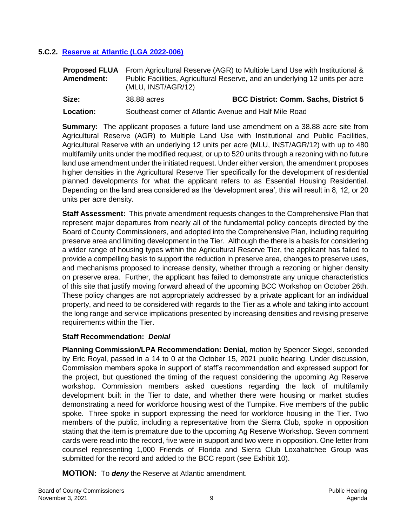#### **5.C.2. [Reserve at Atlantic \(LGA 2022-006\)](https://discover.pbcgov.org/pzb/planning/BCC-Agendas/2021/Nov3/5-C-2_ReserveAGR-Rpt_ADA.pdf)**

|                   | <b>Proposed FLUA</b> From Agricultural Reserve (AGR) to Multiple Land Use with Institutional &     |
|-------------------|----------------------------------------------------------------------------------------------------|
| <b>Amendment:</b> | Public Facilities, Agricultural Reserve, and an underlying 12 units per acre<br>(MLU, INST/AGR/12) |

**Size:** 38.88 acres **BCC District: Comm. Sachs, District 5**

**Location:** Southeast corner of Atlantic Avenue and Half Mile Road

**Summary:** The applicant proposes a future land use amendment on a 38.88 acre site from Agricultural Reserve (AGR) to Multiple Land Use with Institutional and Public Facilities, Agricultural Reserve with an underlying 12 units per acre (MLU, INST/AGR/12) with up to 480 multifamily units under the modified request, or up to 520 units through a rezoning with no future land use amendment under the initiated request. Under either version, the amendment proposes higher densities in the Agricultural Reserve Tier specifically for the development of residential planned developments for what the applicant refers to as Essential Housing Residential. Depending on the land area considered as the 'development area', this will result in 8, 12, or 20 units per acre density.

**Staff Assessment:** This private amendment requests changes to the Comprehensive Plan that represent major departures from nearly all of the fundamental policy concepts directed by the Board of County Commissioners, and adopted into the Comprehensive Plan, including requiring preserve area and limiting development in the Tier. Although the there is a basis for considering a wider range of housing types within the Agricultural Reserve Tier, the applicant has failed to provide a compelling basis to support the reduction in preserve area, changes to preserve uses, and mechanisms proposed to increase density, whether through a rezoning or higher density on preserve area. Further, the applicant has failed to demonstrate any unique characteristics of this site that justify moving forward ahead of the upcoming BCC Workshop on October 26th. These policy changes are not appropriately addressed by a private applicant for an individual property, and need to be considered with regards to the Tier as a whole and taking into account the long range and service implications presented by increasing densities and revising preserve requirements within the Tier.

#### **Staff Recommendation:** *Denial*

**Planning Commission/LPA Recommendation: Denial***,* motion by Spencer Siegel, seconded by Eric Royal, passed in a 14 to 0 at the October 15, 2021 public hearing. Under discussion, Commission members spoke in support of staff's recommendation and expressed support for the project, but questioned the timing of the request considering the upcoming Ag Reserve workshop. Commission members asked questions regarding the lack of multifamily development built in the Tier to date, and whether there were housing or market studies demonstrating a need for workforce housing west of the Turnpike. Five members of the public spoke. Three spoke in support expressing the need for workforce housing in the Tier. Two members of the public, including a representative from the Sierra Club, spoke in opposition stating that the item is premature due to the upcoming Ag Reserve Workshop. Seven comment cards were read into the record, five were in support and two were in opposition. One letter from counsel representing 1,000 Friends of Florida and Sierra Club Loxahatchee Group was submitted for the record and added to the BCC report (see Exhibit 10).

**MOTION:** To *deny* the Reserve at Atlantic amendment.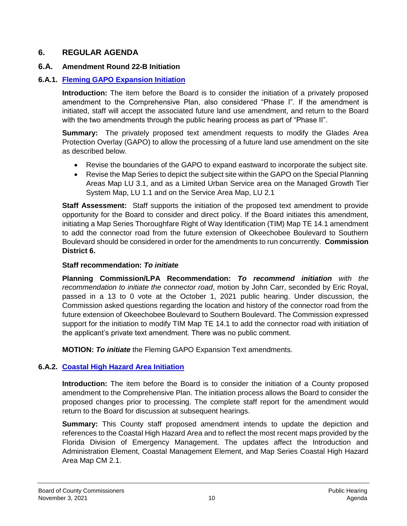### **6. REGULAR AGENDA**

#### **6.A. Amendment Round 22-B Initiation**

#### **6.A.1. [Fleming GAPO Expansion Initiation](https://discover.pbcgov.org/pzb/planning/BCC-Agendas/2021/Nov3/6-A-1_Fleming-GAPO-Rpt_ADA.pdf)**

**Introduction:** The item before the Board is to consider the initiation of a privately proposed amendment to the Comprehensive Plan, also considered "Phase I". If the amendment is initiated, staff will accept the associated future land use amendment, and return to the Board with the two amendments through the public hearing process as part of "Phase II".

**Summary:** The privately proposed text amendment requests to modify the Glades Area Protection Overlay (GAPO) to allow the processing of a future land use amendment on the site as described below.

- Revise the boundaries of the GAPO to expand eastward to incorporate the subject site.
- Revise the Map Series to depict the subject site within the GAPO on the Special Planning Areas Map LU 3.1, and as a Limited Urban Service area on the Managed Growth Tier System Map, LU 1.1 and on the Service Area Map, LU 2.1

**Staff Assessment:** Staff supports the initiation of the proposed text amendment to provide opportunity for the Board to consider and direct policy. If the Board initiates this amendment, initiating a Map Series Thoroughfare Right of Way Identification (TIM) Map TE 14.1 amendment to add the connector road from the future extension of Okeechobee Boulevard to Southern Boulevard should be considered in order for the amendments to run concurrently. **Commission District 6.**

#### **Staff recommendation:** *To initiate*

**Planning Commission/LPA Recommendation:** *To recommend initiation with the recommendation to initiate the connector road*, motion by John Carr, seconded by Eric Royal, passed in a 13 to 0 vote at the October 1, 2021 public hearing. Under discussion, the Commission asked questions regarding the location and history of the connector road from the future extension of Okeechobee Boulevard to Southern Boulevard. The Commission expressed support for the initiation to modify TIM Map TE 14.1 to add the connector road with initiation of the applicant's private text amendment. There was no public comment.

**MOTION:** *To initiate* the Fleming GAPO Expansion Text amendments.

### **6.A.2. [Coastal High Hazard Area Initiation](https://discover.pbcgov.org/pzb/planning/BCC-Agendas/2021/Nov3/6-A-2_CHHA-Rpt_ADA.pdf)**

**Introduction:** The item before the Board is to consider the initiation of a County proposed amendment to the Comprehensive Plan. The initiation process allows the Board to consider the proposed changes prior to processing. The complete staff report for the amendment would return to the Board for discussion at subsequent hearings.

**Summary:** This County staff proposed amendment intends to update the depiction and references to the Coastal High Hazard Area and to reflect the most recent maps provided by the Florida Division of Emergency Management. The updates affect the Introduction and Administration Element, Coastal Management Element, and Map Series Coastal High Hazard Area Map CM 2.1.